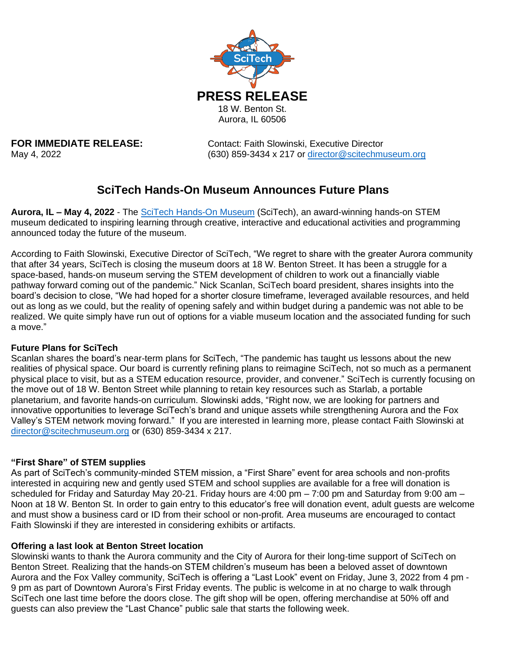

**FOR IMMEDIATE RELEASE:** Contact: Faith Slowinski, Executive Director May 4, 2022 (630) 859-3434 x 217 or [director@scitechmuseum.org](mailto:director@scitechmuseum.org)

# **SciTech Hands-On Museum Announces Future Plans**

**Aurora, IL – May 4, 2022** - The [SciTech Hands-On Museum](http://www.scitechmuseum.org/) (SciTech), an award-winning hands-on STEM museum dedicated to inspiring learning through creative, interactive and educational activities and programming announced today the future of the museum.

According to Faith Slowinski, Executive Director of SciTech, "We regret to share with the greater Aurora community that after 34 years, SciTech is closing the museum doors at 18 W. Benton Street. It has been a struggle for a space-based, hands-on museum serving the STEM development of children to work out a financially viable pathway forward coming out of the pandemic." Nick Scanlan, SciTech board president, shares insights into the board's decision to close, "We had hoped for a shorter closure timeframe, leveraged available resources, and held out as long as we could, but the reality of opening safely and within budget during a pandemic was not able to be realized. We quite simply have run out of options for a viable museum location and the associated funding for such a move."

### **Future Plans for SciTech**

Scanlan shares the board's near-term plans for SciTech, "The pandemic has taught us lessons about the new realities of physical space. Our board is currently refining plans to reimagine SciTech, not so much as a permanent physical place to visit, but as a STEM education resource, provider, and convener." SciTech is currently focusing on the move out of 18 W. Benton Street while planning to retain key resources such as Starlab, a portable planetarium, and favorite hands-on curriculum. Slowinski adds, "Right now, we are looking for partners and innovative opportunities to leverage SciTech's brand and unique assets while strengthening Aurora and the Fox Valley's STEM network moving forward." If you are interested in learning more, please contact Faith Slowinski at [director@scitechmuseum.org](mailto:director@scitechmuseum.org) or (630) 859-3434 x 217.

## **"First Share" of STEM supplies**

As part of SciTech's community-minded STEM mission, a "First Share" event for area schools and non-profits interested in acquiring new and gently used STEM and school supplies are available for a free will donation is scheduled for Friday and Saturday May 20-21. Friday hours are 4:00 pm – 7:00 pm and Saturday from 9:00 am – Noon at 18 W. Benton St. In order to gain entry to this educator's free will donation event, adult guests are welcome and must show a business card or ID from their school or non-profit. Area museums are encouraged to contact Faith Slowinski if they are interested in considering exhibits or artifacts.

### **Offering a last look at Benton Street location**

Slowinski wants to thank the Aurora community and the City of Aurora for their long-time support of SciTech on Benton Street. Realizing that the hands-on STEM children's museum has been a beloved asset of downtown Aurora and the Fox Valley community, SciTech is offering a "Last Look" event on Friday, June 3, 2022 from 4 pm - 9 pm as part of Downtown Aurora's First Friday events. The public is welcome in at no charge to walk through SciTech one last time before the doors close. The gift shop will be open, offering merchandise at 50% off and guests can also preview the "Last Chance" public sale that starts the following week.